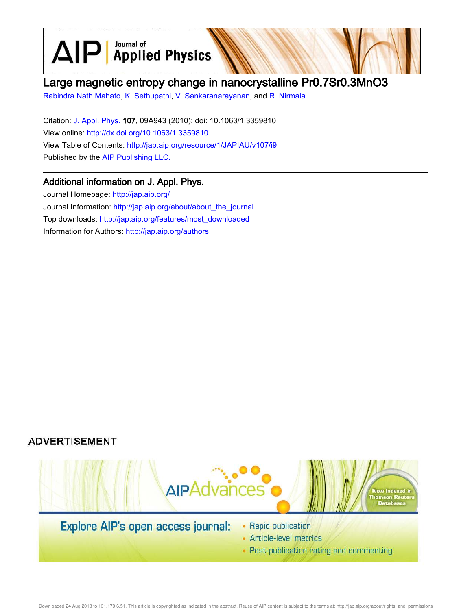$\text{AlP}$  Applied Physics

# Large magnetic entropy change in nanocrystalline Pr0.7Sr0.3MnO3

Rabindra Nath Mahato, K. Sethupathi, V. Sankaranarayanan, and R. Nirmala

Citation: J. Appl. Phys. 107, 09A943 (2010); doi: 10.1063/1.3359810 View online: http://dx.doi.org/10.1063/1.3359810 View Table of Contents: http://jap.aip.org/resource/1/JAPIAU/v107/i9 Published by the AIP Publishing LLC.

# Additional information on J. Appl. Phys.

Journal Homepage: http://jap.aip.org/ Journal Information: http://jap.aip.org/about/about\_the\_journal Top downloads: http://jap.aip.org/features/most\_downloaded Information for Authors: http://jap.aip.org/authors





• Article-level metrics

• Post-publication rating and commenting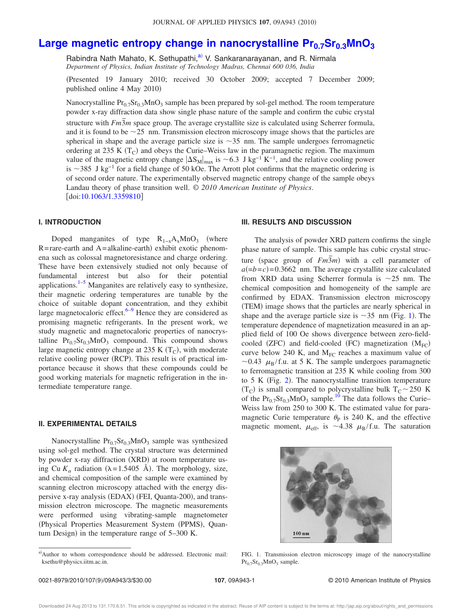# **Large magnetic entropy change in nanocrystalline Pr0.7Sr0.3MnO<sup>3</sup>**

Rabindra Nath Mahato, K. Sethupathi,<sup>a)</sup> V. Sankaranarayanan, and R. Nirmala *Department of Physics, Indian Institute of Technology Madras, Chennai 600 036, India*

Presented 19 January 2010; received 30 October 2009; accepted 7 December 2009; published online 4 May 2010)

Nanocrystalline  $Pr_{0.7}Sr_{0.3}MnO_3$  sample has been prepared by sol-gel method. The room temperature powder x-ray diffraction data show single phase nature of the sample and confirm the cubic crystal structure with *Fm*3*m* space group. The average crystallite size is calculated using Scherrer formula, and it is found to be  $\sim$ 25 nm. Transmission electron microscopy image shows that the particles are spherical in shape and the average particle size is  $\sim$ 35 nm. The sample undergoes ferromagnetic ordering at 235 K  $(T_C)$  and obeys the Curie–Weiss law in the paramagnetic region. The maximum value of the magnetic entropy change  $|\Delta S_M|_{max}$  is ~6.3 J kg<sup>-1</sup> K<sup>-1</sup>, and the relative cooling power is  $\sim$ 385 J kg<sup>-1</sup> for a field change of 50 kOe. The Arrott plot confirms that the magnetic ordering is of second order nature. The experimentally observed magnetic entropy change of the sample obeys Landau theory of phase transition well. © *2010 American Institute of Physics*.  $\lfloor \text{doi:10.1063/1.3359810} \rfloor$ 

## **I. INTRODUCTION**

Doped manganites of type  $R_{1-x}A_xMnO_3$  (where  $R$ =rare-earth and  $A$ =alkaline-earth) exhibit exotic phenomena such as colossal magnetoresistance and charge ordering. These have been extensively studied not only because of fundamental interest but also for their potential applications. $1-5$  Manganites are relatively easy to synthesize, their magnetic ordering temperatures are tunable by the choice of suitable dopant concentration, and they exhibit large magnetocaloric effect. $6-9$  Hence they are considered as promising magnetic refrigerants. In the present work, we study magnetic and magnetocaloric properties of nanocrystalline  $Pr_{0.7}Sr_{0.3}MnO_3$  compound. This compound shows large magnetic entropy change at  $235 \text{ K} \left( \text{T}_{\text{C}} \right)$ , with moderate relative cooling power (RCP). This result is of practical importance because it shows that these compounds could be good working materials for magnetic refrigeration in the intermediate temperature range.

# **II. EXPERIMENTAL DETAILS**

Nanocrystalline  $Pr_{0.7}Sr_{0.3}MnO_3$  sample was synthesized using sol-gel method. The crystal structure was determined by powder x-ray diffraction (XRD) at room temperature using Cu  $K_{\alpha}$  radiation ( $\lambda = 1.5405$  Å). The morphology, size, and chemical composition of the sample were examined by scanning electron microscopy attached with the energy dispersive x-ray analysis (EDAX) (FEI, Quanta-200), and transmission electron microscope. The magnetic measurements were performed using vibrating-sample magnetometer (Physical Properties Measurement System (PPMS), Quantum Design) in the temperature range of 5–300 K.

## **III. RESULTS AND DISCUSSION**

The analysis of powder XRD pattern confirms the single phase nature of sample. This sample has cubic crystal structure (space group of  $Fm\overline{3}m$ ) with a cell parameter of  $a(=b=c)$  = 0.3662 nm. The average crystallite size calculated from XRD data using Scherrer formula is  $\sim$ 25 nm. The chemical composition and homogeneity of the sample are confirmed by EDAX. Transmission electron microscopy (TEM) image shows that the particles are nearly spherical in shape and the average particle size is  $\sim$ 35 nm (Fig. 1). The temperature dependence of magnetization measured in an applied field of 100 Oe shows divergence between zero-fieldcooled (ZFC) and field-cooled (FC) magnetization  $(M_{FC})$ curve below 240 K, and  $M_{FC}$  reaches a maximum value of ~0.43  $\mu_B$ /f.u. at 5 K. The sample undergoes paramagnetic to ferromagnetic transition at 235 K while cooling from 300 to 5 K (Fig. 2). The nanocrystalline transition temperature  $(T_C)$  is small compared to polycrystalline bulk  $T_C \sim 250$  K of the  $Pr_{0.7}Sr_{0.3}MnO_3$  sample.<sup>10</sup> The data follows the Curie– Weiss law from 250 to 300 K. The estimated value for paramagnetic Curie temperature  $\theta$ <sub>P</sub> is 240 K, and the effective magnetic moment,  $\mu_{\text{eff}}$ , is ~4.38  $\mu_{\text{B}}$ /f.u. The saturation



FIG. 1. Transmission electron microscopy image of the nanocrystalline  $Pr_{0.7}Sr_{0.3}MnO_3$  sample.

a)Author to whom correspondence should be addressed. Electronic mail: ksethu@physics.iitm.ac.in.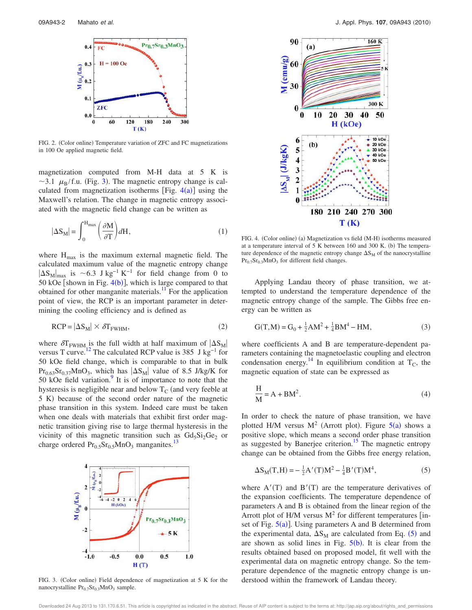

FIG. 2. (Color online) Temperature variation of ZFC and FC magnetizations in 100 Oe applied magnetic field.

magnetization computed from M-H data at 5 K is  $\sim$ 3.1  $\mu_B$ /f.u. (Fig. 3). The magnetic entropy change is calculated from magnetization isotherms [Fig.  $4(a)$ ] using the Maxwell's relation. The change in magnetic entropy associated with the magnetic field change can be written as

$$
|\Delta S_{\rm M}| = \int_0^{\rm H_{max}} \left(\frac{\partial M}{\partial T}\right) dH,\tag{1}
$$

where  $H_{max}$  is the maximum external magnetic field. The calculated maximum value of the magnetic entropy change  $|\Delta S_M|_{\text{max}}$  is ~6.3 J kg<sup>-1</sup> K<sup>-1</sup> for field change from 0 to 50 kOe [shown in Fig.  $4(b)$ ], which is large compared to that obtained for other manganite materials.<sup>11</sup> For the application point of view, the RCP is an important parameter in determining the cooling efficiency and is defined as

$$
RCP = |\Delta S_M| \times \delta T_{FWHM},\tag{2}
$$

where  $\delta T_{FWHM}$  is the full width at half maximum of  $|\Delta S_M|$ versus T curve.<sup>12</sup> The calculated RCP value is 385 J kg<sup>-1</sup> for 50 kOe field change, which is comparable to that in bulk  $Pr_{0.63}Sr_{0.37}MnO_3$ , which has  $|\Delta S_M|$  value of 8.5 J/kg/K for 50 kOe field variation.<sup>9</sup> It is of importance to note that the hysteresis is negligible near and below  $T_c$  (and very feeble at 5 K) because of the second order nature of the magnetic phase transition in this system. Indeed care must be taken when one deals with materials that exhibit first order magnetic transition giving rise to large thermal hysteresis in the vicinity of this magnetic transition such as  $Gd_5Si_2Ge_2$  or charge ordered  $Pr_{0.5}Sr_{0.5}MnO_3$  manganites.<sup>13</sup>



FIG. 3. (Color online) Field dependence of magnetization at 5 K for the nanocrystalline  $Pr_{0.7}Sr_{0.3}MnO_3$  sample.



FIG. 4. (Color online) (a) Magnetization vs field (M-H) isotherms measured at a temperature interval of  $5 K$  between 160 and 300 K. (b) The temperature dependence of the magnetic entropy change  $\Delta S_M$  of the nanocrystalline  $Pr_{0.7}Sr_{0.3}MnO_3$  for different field changes.

Applying Landau theory of phase transition, we attempted to understand the temperature dependence of the magnetic entropy change of the sample. The Gibbs free energy can be written as

$$
G(T, M) = G_0 + \frac{1}{2}AM^2 + \frac{1}{4}BM^4 - HM,
$$
 (3)

where coefficients A and B are temperature-dependent parameters containing the magnetoelastic coupling and electron condensation energy.<sup>14</sup> In equilibrium condition at  $T_c$ , the magnetic equation of state can be expressed as

$$
\frac{H}{M} = A + BM^2.
$$
 (4)

In order to check the nature of phase transition, we have plotted H/M versus  $M^2$  (Arrott plot). Figure 5(a) shows a positive slope, which means a second order phase transition as suggested by Banerjee criterion.<sup>15</sup> The magnetic entropy change can be obtained from the Gibbs free energy relation,

$$
\Delta S_M(T,H) = -\frac{1}{2}A'(T)M^2 - \frac{1}{4}B'(T)M^4,\tag{5}
$$

where  $A'(T)$  and  $B'(T)$  are the temperature derivatives of the expansion coefficients. The temperature dependence of parameters A and B is obtained from the linear region of the Arrott plot of H/M versus  $M^2$  for different temperatures [inset of Fig.  $5(a)$ ]. Using parameters A and B determined from the experimental data,  $\Delta S_M$  are calculated from Eq. (5) and are shown as solid lines in Fig.  $5(b)$ . It is clear from the results obtained based on proposed model, fit well with the experimental data on magnetic entropy change. So the temperature dependence of the magnetic entropy change is understood within the framework of Landau theory.

Downloaded 24 Aug 2013 to 131.170.6.51. This article is copyrighted as indicated in the abstract. Reuse of AIP content is subject to the terms at: http://jap.aip.org/about/rights\_and\_permissions